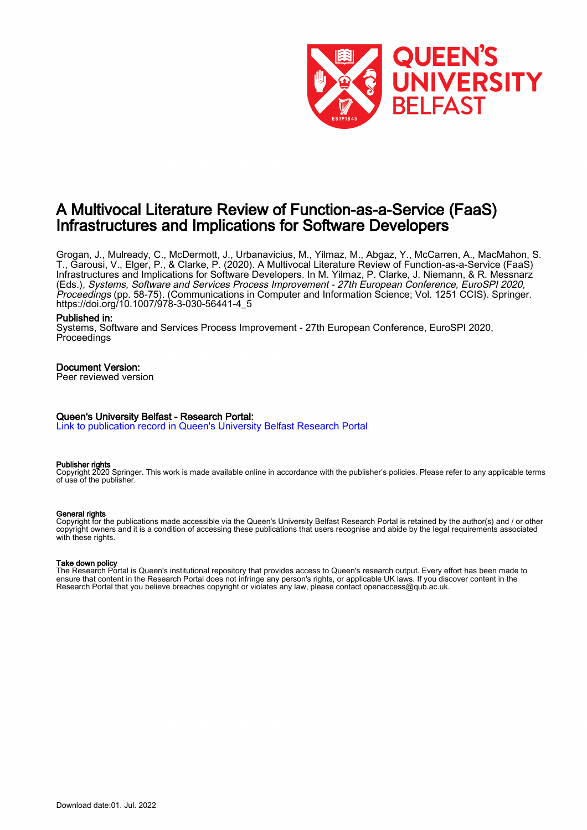

# A Multivocal Literature Review of Function-as-a-Service (FaaS) Infrastructures and Implications for Software Developers

Grogan, J., Mulready, C., McDermott, J., Urbanavicius, M., Yilmaz, M., Abgaz, Y., McCarren, A., MacMahon, S. T., Garousi, V., Elger, P., & Clarke, P. (2020). A Multivocal Literature Review of Function-as-a-Service (FaaS) Infrastructures and Implications for Software Developers. In M. Yilmaz, P. Clarke, J. Niemann, & R. Messnarz (Eds.), Systems, Software and Services Process Improvement - 27th European Conference, EuroSPI 2020, Proceedings (pp. 58-75). (Communications in Computer and Information Science; Vol. 1251 CCIS). Springer. [https://doi.org/10.1007/978-3-030-56441-4\\_5](https://doi.org/10.1007/978-3-030-56441-4_5)

## Published in:

Systems, Software and Services Process Improvement - 27th European Conference, EuroSPI 2020, **Proceedings** 

# Document Version:

Peer reviewed version

# Queen's University Belfast - Research Portal:

[Link to publication record in Queen's University Belfast Research Portal](https://pure.qub.ac.uk/en/publications/d6c02ad1-63f3-4cf7-ac96-b482961e73a2)

## Publisher rights

Copyright 2020 Springer. This work is made available online in accordance with the publisher's policies. Please refer to any applicable terms of use of the publisher.

## General rights

Copyright for the publications made accessible via the Queen's University Belfast Research Portal is retained by the author(s) and / or other copyright owners and it is a condition of accessing these publications that users recognise and abide by the legal requirements associated with these rights.

## Take down policy

The Research Portal is Queen's institutional repository that provides access to Queen's research output. Every effort has been made to ensure that content in the Research Portal does not infringe any person's rights, or applicable UK laws. If you discover content in the Research Portal that you believe breaches copyright or violates any law, please contact openaccess@qub.ac.uk.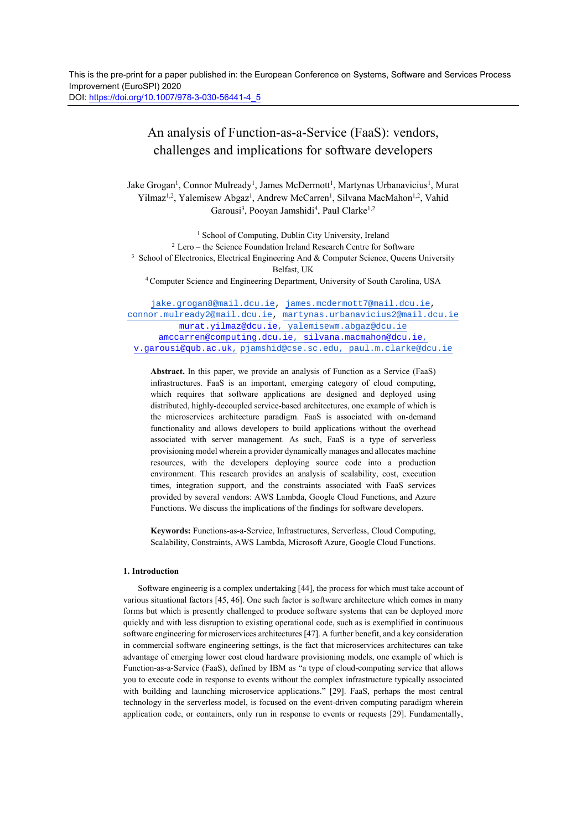# An analysis of Function-as-a-Service (FaaS): vendors, challenges and implications for software developers

Jake Grogan<sup>1</sup>, Connor Mulready<sup>1</sup>, James McDermott<sup>1</sup>, Martynas Urbanavicius<sup>1</sup>, Murat Yilmaz<sup>1,2</sup>, Yalemisew Abgaz<sup>1</sup>, Andrew McCarren<sup>1</sup>, Silvana MacMahon<sup>1,2</sup>, Vahid Garousi<sup>3</sup>, Pooyan Jamshidi<sup>4</sup>, Paul Clarke<sup>1,2</sup>

<sup>1</sup> School of Computing, Dublin City University, Ireland  $2$  Lero – the Science Foundation Ireland Research Centre for Software  $3$  School of Electronics, Electrical Engineering And & Computer Science, Queens University Belfast, UK<br><sup>4</sup> Computer Science and Engineering Department, University of South Carolina, USA

jake.grogan8@mail.dcu.ie, james.mcdermott7@mail.dcu.ie, connor.mulready2@mail.dcu.ie, martynas.urbanavicius2@mail.dcu.ie murat.yilmaz@dcu.ie, yalemisewm.abgaz@dcu.ie amccarren@computing.dcu.ie, silvana.macmahon@dcu.ie, v.garousi@qub.ac.uk, pjamshid@cse.sc.edu, paul.m.clarke@dcu.ie

**Abstract.** In this paper, we provide an analysis of Function as a Service (FaaS) infrastructures. FaaS is an important, emerging category of cloud computing, which requires that software applications are designed and deployed using distributed, highly-decoupled service-based architectures, one example of which is the microservices architecture paradigm. FaaS is associated with on-demand functionality and allows developers to build applications without the overhead associated with server management. As such, FaaS is a type of serverless provisioning model wherein a provider dynamically manages and allocates machine resources, with the developers deploying source code into a production environment. This research provides an analysis of scalability, cost, execution times, integration support, and the constraints associated with FaaS services provided by several vendors: AWS Lambda, Google Cloud Functions, and Azure Functions. We discuss the implications of the findings for software developers.

**Keywords:** Functions-as-a-Service, Infrastructures, Serverless, Cloud Computing, Scalability, Constraints, AWS Lambda, Microsoft Azure, Google Cloud Functions.

## **1. Introduction**

Software engineerig is a complex undertaking [44], the process for which must take account of various situational factors [45, 46]. One such factor is software architecture which comes in many forms but which is presently challenged to produce software systems that can be deployed more quickly and with less disruption to existing operational code, such as is exemplified in continuous software engineering for microservices architectures [47]. A further benefit, and a key consideration in commercial software engineering settings, is the fact that microservices architectures can take advantage of emerging lower cost cloud hardware provisioning models, one example of which is Function-as-a-Service (FaaS), defined by IBM as "a type of cloud-computing service that allows you to execute code in response to events without the complex infrastructure typically associated with building and launching microservice applications." [29]. FaaS, perhaps the most central technology in the serverless model, is focused on the event-driven computing paradigm wherein application code, or containers, only run in response to events or requests [29]. Fundamentally,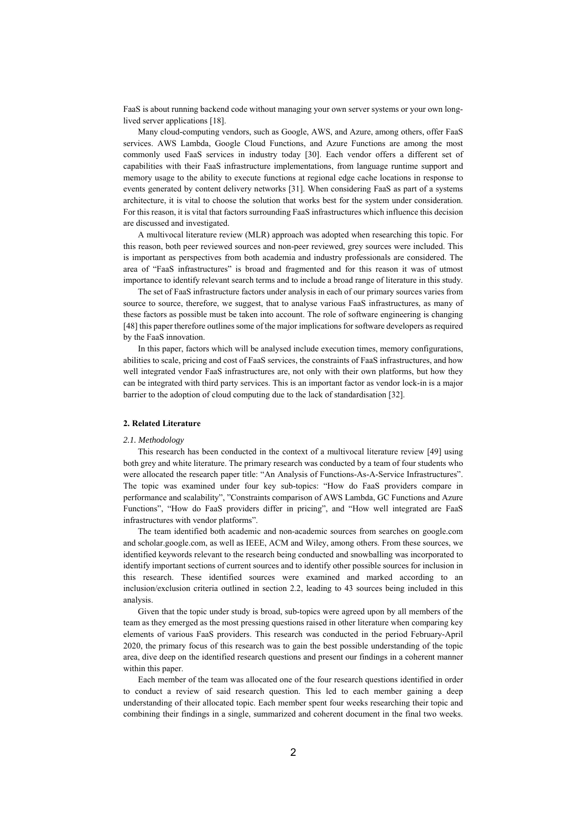FaaS is about running backend code without managing your own server systems or your own longlived server applications [18].

Many cloud-computing vendors, such as Google, AWS, and Azure, among others, offer FaaS services. AWS Lambda, Google Cloud Functions, and Azure Functions are among the most commonly used FaaS services in industry today [30]. Each vendor offers a different set of capabilities with their FaaS infrastructure implementations, from language runtime support and memory usage to the ability to execute functions at regional edge cache locations in response to events generated by content delivery networks [31]. When considering FaaS as part of a systems architecture, it is vital to choose the solution that works best for the system under consideration. For this reason, it is vital that factors surrounding FaaS infrastructures which influence this decision are discussed and investigated.

A multivocal literature review (MLR) approach was adopted when researching this topic. For this reason, both peer reviewed sources and non-peer reviewed, grey sources were included. This is important as perspectives from both academia and industry professionals are considered. The area of "FaaS infrastructures" is broad and fragmented and for this reason it was of utmost importance to identify relevant search terms and to include a broad range of literature in this study.

The set of FaaS infrastructure factors under analysis in each of our primary sources varies from source to source, therefore, we suggest, that to analyse various FaaS infrastructures, as many of these factors as possible must be taken into account. The role of software engineering is changing [48] this paper therefore outlines some of the major implications for software developers as required by the FaaS innovation.

In this paper, factors which will be analysed include execution times, memory configurations, abilities to scale, pricing and cost of FaaS services, the constraints of FaaS infrastructures, and how well integrated vendor FaaS infrastructures are, not only with their own platforms, but how they can be integrated with third party services. This is an important factor as vendor lock-in is a major barrier to the adoption of cloud computing due to the lack of standardisation [32].

### **2. Related Literature**

## *2.1. Methodology*

This research has been conducted in the context of a multivocal literature review [49] using both grey and white literature. The primary research was conducted by a team of four students who were allocated the research paper title: "An Analysis of Functions-As-A-Service Infrastructures". The topic was examined under four key sub-topics: "How do FaaS providers compare in performance and scalability", "Constraints comparison of AWS Lambda, GC Functions and Azure Functions", "How do FaaS providers differ in pricing", and "How well integrated are FaaS infrastructures with vendor platforms".

The team identified both academic and non-academic sources from searches on google.com and scholar.google.com, as well as IEEE, ACM and Wiley, among others. From these sources, we identified keywords relevant to the research being conducted and snowballing was incorporated to identify important sections of current sources and to identify other possible sources for inclusion in this research. These identified sources were examined and marked according to an inclusion/exclusion criteria outlined in section 2.2, leading to 43 sources being included in this analysis.

 Given that the topic under study is broad, sub-topics were agreed upon by all members of the team as they emerged as the most pressing questions raised in other literature when comparing key elements of various FaaS providers. This research was conducted in the period February-April 2020, the primary focus of this research was to gain the best possible understanding of the topic area, dive deep on the identified research questions and present our findings in a coherent manner within this paper.

 Each member of the team was allocated one of the four research questions identified in order to conduct a review of said research question. This led to each member gaining a deep understanding of their allocated topic. Each member spent four weeks researching their topic and combining their findings in a single, summarized and coherent document in the final two weeks.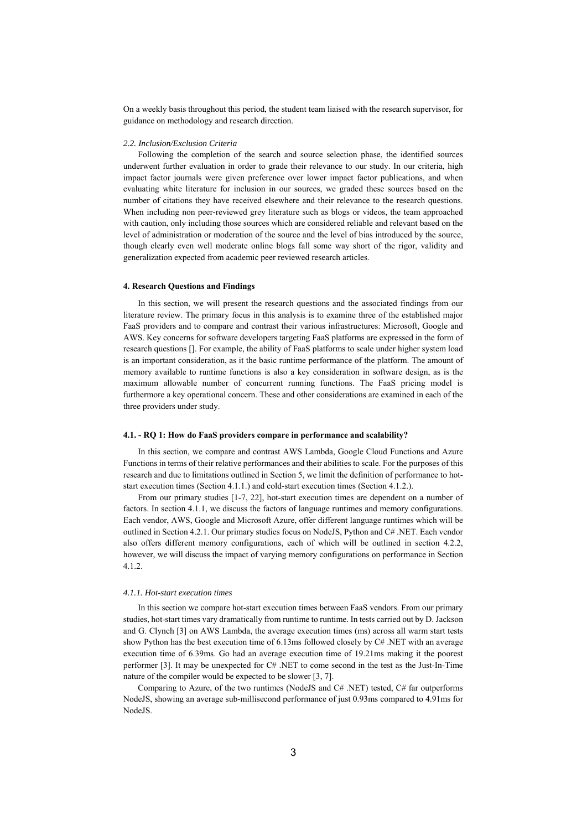On a weekly basis throughout this period, the student team liaised with the research supervisor, for guidance on methodology and research direction.

#### *2.2. Inclusion/Exclusion Criteria*

Following the completion of the search and source selection phase, the identified sources underwent further evaluation in order to grade their relevance to our study. In our criteria, high impact factor journals were given preference over lower impact factor publications, and when evaluating white literature for inclusion in our sources, we graded these sources based on the number of citations they have received elsewhere and their relevance to the research questions. When including non peer-reviewed grey literature such as blogs or videos, the team approached with caution, only including those sources which are considered reliable and relevant based on the level of administration or moderation of the source and the level of bias introduced by the source, though clearly even well moderate online blogs fall some way short of the rigor, validity and generalization expected from academic peer reviewed research articles.

#### **4. Research Questions and Findings**

In this section, we will present the research questions and the associated findings from our literature review. The primary focus in this analysis is to examine three of the established major FaaS providers and to compare and contrast their various infrastructures: Microsoft, Google and AWS. Key concerns for software developers targeting FaaS platforms are expressed in the form of research questions []. For example, the ability of FaaS platforms to scale under higher system load is an important consideration, as it the basic runtime performance of the platform. The amount of memory available to runtime functions is also a key consideration in software design, as is the maximum allowable number of concurrent running functions. The FaaS pricing model is furthermore a key operational concern. These and other considerations are examined in each of the three providers under study.

#### **4.1. - RQ 1: How do FaaS providers compare in performance and scalability?**

 In this section, we compare and contrast AWS Lambda, Google Cloud Functions and Azure Functions in terms of their relative performances and their abilities to scale. For the purposes of this research and due to limitations outlined in Section 5, we limit the definition of performance to hotstart execution times (Section 4.1.1.) and cold-start execution times (Section 4.1.2.).

 From our primary studies [1-7, 22], hot-start execution times are dependent on a number of factors. In section 4.1.1, we discuss the factors of language runtimes and memory configurations. Each vendor, AWS, Google and Microsoft Azure, offer different language runtimes which will be outlined in Section 4.2.1. Our primary studies focus on NodeJS, Python and C# .NET. Each vendor also offers different memory configurations, each of which will be outlined in section 4.2.2, however, we will discuss the impact of varying memory configurations on performance in Section 4.1.2.

## *4.1.1. Hot-start execution times*

In this section we compare hot-start execution times between FaaS vendors. From our primary studies, hot-start times vary dramatically from runtime to runtime. In tests carried out by D. Jackson and G. Clynch [3] on AWS Lambda, the average execution times (ms) across all warm start tests show Python has the best execution time of 6.13ms followed closely by C# .NET with an average execution time of 6.39ms. Go had an average execution time of 19.21ms making it the poorest performer [3]. It may be unexpected for C# .NET to come second in the test as the Just-In-Time nature of the compiler would be expected to be slower [3, 7].

Comparing to Azure, of the two runtimes (NodeJS and  $C#$  .NET) tested,  $C#$  far outperforms NodeJS, showing an average sub-millisecond performance of just 0.93ms compared to 4.91ms for NodeJS.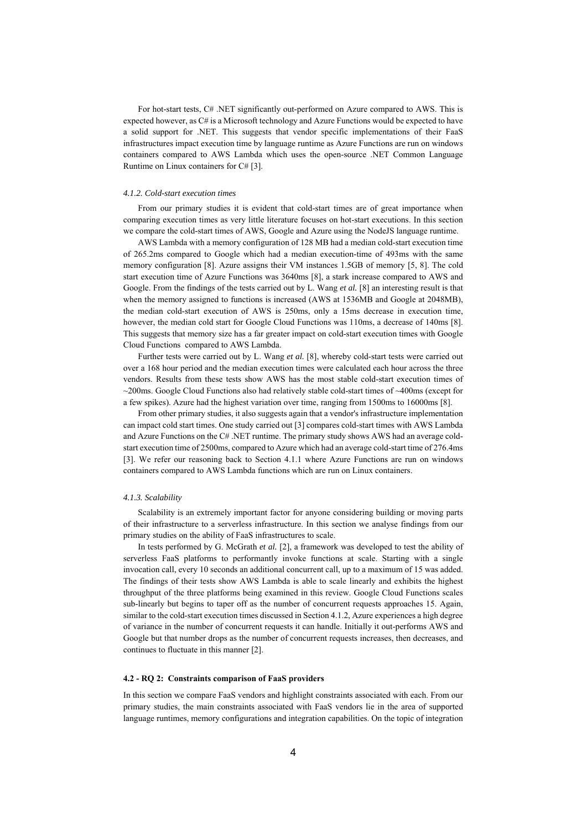For hot-start tests, C# .NET significantly out-performed on Azure compared to AWS. This is expected however, as C# is a Microsoft technology and Azure Functions would be expected to have a solid support for .NET. This suggests that vendor specific implementations of their FaaS infrastructures impact execution time by language runtime as Azure Functions are run on windows containers compared to AWS Lambda which uses the open-source .NET Common Language Runtime on Linux containers for C# [3].

#### *4.1.2. Cold-start execution times*

 From our primary studies it is evident that cold-start times are of great importance when comparing execution times as very little literature focuses on hot-start executions. In this section we compare the cold-start times of AWS, Google and Azure using the NodeJS language runtime.

 AWS Lambda with a memory configuration of 128 MB had a median cold-start execution time of 265.2ms compared to Google which had a median execution-time of 493ms with the same memory configuration [8]. Azure assigns their VM instances 1.5GB of memory [5, 8]. The cold start execution time of Azure Functions was 3640ms [8], a stark increase compared to AWS and Google. From the findings of the tests carried out by L. Wang *et al.* [8] an interesting result is that when the memory assigned to functions is increased (AWS at 1536MB and Google at 2048MB), the median cold-start execution of AWS is 250ms, only a 15ms decrease in execution time, however, the median cold start for Google Cloud Functions was 110ms, a decrease of 140ms [8]. This suggests that memory size has a far greater impact on cold-start execution times with Google Cloud Functions compared to AWS Lambda.

 Further tests were carried out by L. Wang *et al.* [8], whereby cold-start tests were carried out over a 168 hour period and the median execution times were calculated each hour across the three vendors. Results from these tests show AWS has the most stable cold-start execution times of ~200ms. Google Cloud Functions also had relatively stable cold-start times of ~400ms (except for a few spikes). Azure had the highest variation over time, ranging from 1500ms to 16000ms [8].

From other primary studies, it also suggests again that a vendor's infrastructure implementation can impact cold start times. One study carried out [3] compares cold-start times with AWS Lambda and Azure Functions on the C# .NET runtime. The primary study shows AWS had an average coldstart execution time of 2500ms, compared to Azure which had an average cold-start time of 276.4ms [3]. We refer our reasoning back to Section 4.1.1 where Azure Functions are run on windows containers compared to AWS Lambda functions which are run on Linux containers.

## *4.1.3. Scalability*

 Scalability is an extremely important factor for anyone considering building or moving parts of their infrastructure to a serverless infrastructure. In this section we analyse findings from our primary studies on the ability of FaaS infrastructures to scale.

 In tests performed by G. McGrath *et al.* [2], a framework was developed to test the ability of serverless FaaS platforms to performantly invoke functions at scale. Starting with a single invocation call, every 10 seconds an additional concurrent call, up to a maximum of 15 was added. The findings of their tests show AWS Lambda is able to scale linearly and exhibits the highest throughput of the three platforms being examined in this review. Google Cloud Functions scales sub-linearly but begins to taper off as the number of concurrent requests approaches 15. Again, similar to the cold-start execution times discussed in Section 4.1.2, Azure experiences a high degree of variance in the number of concurrent requests it can handle. Initially it out-performs AWS and Google but that number drops as the number of concurrent requests increases, then decreases, and continues to fluctuate in this manner [2].

#### **4.2 - RQ 2: Constraints comparison of FaaS providers**

In this section we compare FaaS vendors and highlight constraints associated with each. From our primary studies, the main constraints associated with FaaS vendors lie in the area of supported language runtimes, memory configurations and integration capabilities. On the topic of integration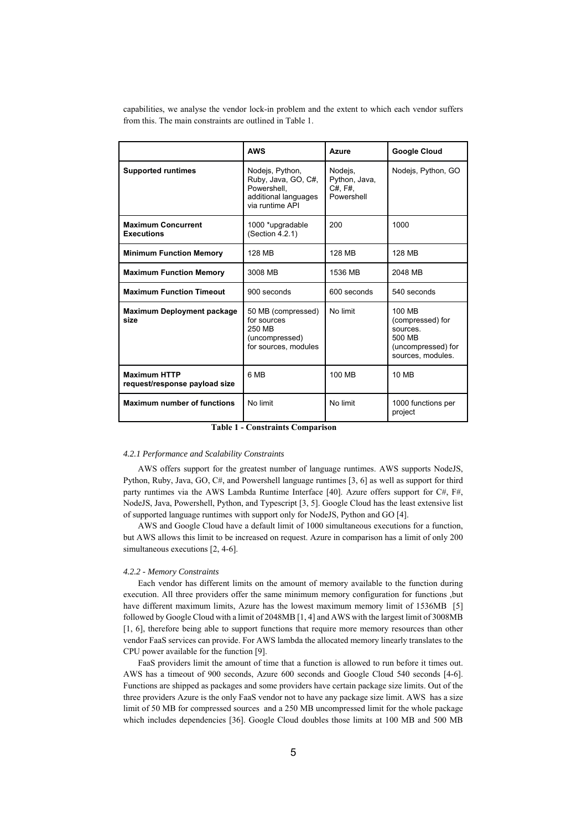capabilities, we analyse the vendor lock-in problem and the extent to which each vendor suffers from this. The main constraints are outlined in Table 1.

|                                                      | <b>AWS</b>                                                                                       | Azure                                                   | <b>Google Cloud</b>                                                                               |
|------------------------------------------------------|--------------------------------------------------------------------------------------------------|---------------------------------------------------------|---------------------------------------------------------------------------------------------------|
| <b>Supported runtimes</b>                            | Nodejs, Python,<br>Ruby, Java, GO, C#,<br>Powershell.<br>additional languages<br>via runtime API | Nodejs,<br>Python, Java,<br>$C#$ , $F#$ ,<br>Powershell | Nodejs, Python, GO                                                                                |
| <b>Maximum Concurrent</b><br><b>Executions</b>       | 1000 *upgradable<br>(Section 4.2.1)                                                              | 200                                                     | 1000                                                                                              |
| <b>Minimum Function Memory</b>                       | 128 MB                                                                                           | 128 MB                                                  | 128 MB                                                                                            |
| <b>Maximum Function Memory</b>                       | 3008 MB                                                                                          | 1536 MB                                                 | 2048 MB                                                                                           |
| <b>Maximum Function Timeout</b>                      | 900 seconds                                                                                      | 600 seconds                                             | 540 seconds                                                                                       |
| <b>Maximum Deployment package</b><br>size            | 50 MB (compressed)<br>for sources<br>250 MB<br>(uncompressed)<br>for sources, modules            | No limit                                                | 100 MB<br>(compressed) for<br><b>SOUICES</b><br>500 MB<br>(uncompressed) for<br>sources, modules. |
| <b>Maximum HTTP</b><br>request/response payload size | 6 MB                                                                                             | 100 MB                                                  | 10 MB                                                                                             |
| <b>Maximum number of functions</b>                   | No limit                                                                                         | No limit                                                | 1000 functions per<br>project                                                                     |

**Table 1 - Constraints Comparison** 

#### *4.2.1 Performance and Scalability Constraints*

AWS offers support for the greatest number of language runtimes. AWS supports NodeJS, Python, Ruby, Java, GO, C#, and Powershell language runtimes [3, 6] as well as support for third party runtimes via the AWS Lambda Runtime Interface [40]. Azure offers support for C#, F#, NodeJS, Java, Powershell, Python, and Typescript [3, 5]. Google Cloud has the least extensive list of supported language runtimes with support only for NodeJS, Python and GO [4].

AWS and Google Cloud have a default limit of 1000 simultaneous executions for a function, but AWS allows this limit to be increased on request. Azure in comparison has a limit of only 200 simultaneous executions [2, 4-6].

#### *4.2.2 - Memory Constraints*

Each vendor has different limits on the amount of memory available to the function during execution. All three providers offer the same minimum memory configuration for functions ,but have different maximum limits, Azure has the lowest maximum memory limit of 1536MB [5] followed by Google Cloud with a limit of 2048MB [1, 4] and AWS with the largest limit of 3008MB [1, 6], therefore being able to support functions that require more memory resources than other vendor FaaS services can provide. For AWS lambda the allocated memory linearly translates to the CPU power available for the function [9].

FaaS providers limit the amount of time that a function is allowed to run before it times out. AWS has a timeout of 900 seconds, Azure 600 seconds and Google Cloud 540 seconds [4-6]. Functions are shipped as packages and some providers have certain package size limits. Out of the three providers Azure is the only FaaS vendor not to have any package size limit. AWS has a size limit of 50 MB for compressed sources and a 250 MB uncompressed limit for the whole package which includes dependencies [36]. Google Cloud doubles those limits at 100 MB and 500 MB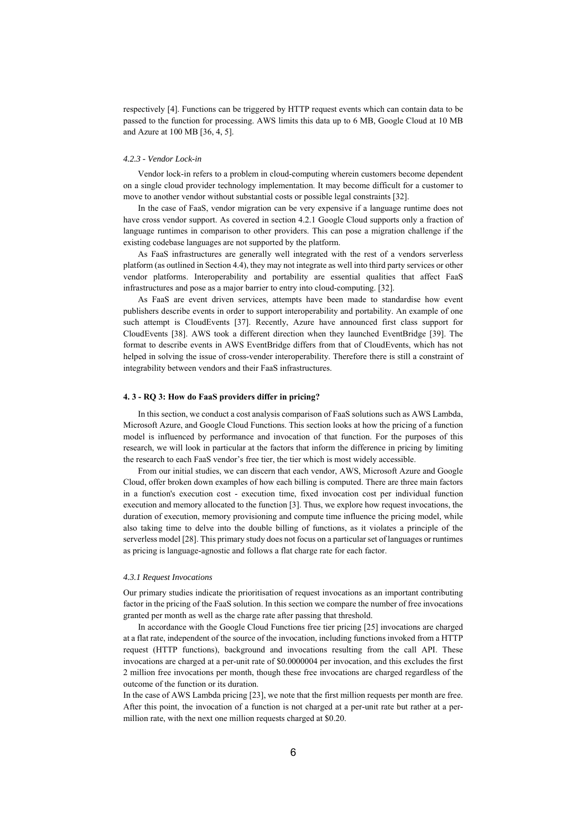respectively [4]. Functions can be triggered by HTTP request events which can contain data to be passed to the function for processing. AWS limits this data up to 6 MB, Google Cloud at 10 MB and Azure at 100 MB [36, 4, 5].

#### *4.2.3 - Vendor Lock-in*

Vendor lock-in refers to a problem in cloud-computing wherein customers become dependent on a single cloud provider technology implementation. It may become difficult for a customer to move to another vendor without substantial costs or possible legal constraints [32].

In the case of FaaS, vendor migration can be very expensive if a language runtime does not have cross vendor support. As covered in section 4.2.1 Google Cloud supports only a fraction of language runtimes in comparison to other providers. This can pose a migration challenge if the existing codebase languages are not supported by the platform.

As FaaS infrastructures are generally well integrated with the rest of a vendors serverless platform (as outlined in Section 4.4), they may not integrate as well into third party services or other vendor platforms. Interoperability and portability are essential qualities that affect FaaS infrastructures and pose as a major barrier to entry into cloud-computing. [32].

As FaaS are event driven services, attempts have been made to standardise how event publishers describe events in order to support interoperability and portability. An example of one such attempt is CloudEvents [37]. Recently, Azure have announced first class support for CloudEvents [38]. AWS took a different direction when they launched EventBridge [39]. The format to describe events in AWS EventBridge differs from that of CloudEvents, which has not helped in solving the issue of cross-vender interoperability. Therefore there is still a constraint of integrability between vendors and their FaaS infrastructures.

#### **4. 3 - RQ 3: How do FaaS providers differ in pricing?**

In this section, we conduct a cost analysis comparison of FaaS solutions such as AWS Lambda, Microsoft Azure, and Google Cloud Functions. This section looks at how the pricing of a function model is influenced by performance and invocation of that function. For the purposes of this research, we will look in particular at the factors that inform the difference in pricing by limiting the research to each FaaS vendor's free tier, the tier which is most widely accessible.

From our initial studies, we can discern that each vendor, AWS, Microsoft Azure and Google Cloud, offer broken down examples of how each billing is computed. There are three main factors in a function's execution cost - execution time, fixed invocation cost per individual function execution and memory allocated to the function [3]. Thus, we explore how request invocations, the duration of execution, memory provisioning and compute time influence the pricing model, while also taking time to delve into the double billing of functions, as it violates a principle of the serverless model [28]. This primary study does not focus on a particular set of languages or runtimes as pricing is language-agnostic and follows a flat charge rate for each factor.

#### *4.3.1 Request Invocations*

Our primary studies indicate the prioritisation of request invocations as an important contributing factor in the pricing of the FaaS solution. In this section we compare the number of free invocations granted per month as well as the charge rate after passing that threshold.

 In accordance with the Google Cloud Functions free tier pricing [25] invocations are charged at a flat rate, independent of the source of the invocation, including functions invoked from a HTTP request (HTTP functions), background and invocations resulting from the call API. These invocations are charged at a per-unit rate of \$0.0000004 per invocation, and this excludes the first 2 million free invocations per month, though these free invocations are charged regardless of the outcome of the function or its duration.

In the case of AWS Lambda pricing [23], we note that the first million requests per month are free. After this point, the invocation of a function is not charged at a per-unit rate but rather at a permillion rate, with the next one million requests charged at \$0.20.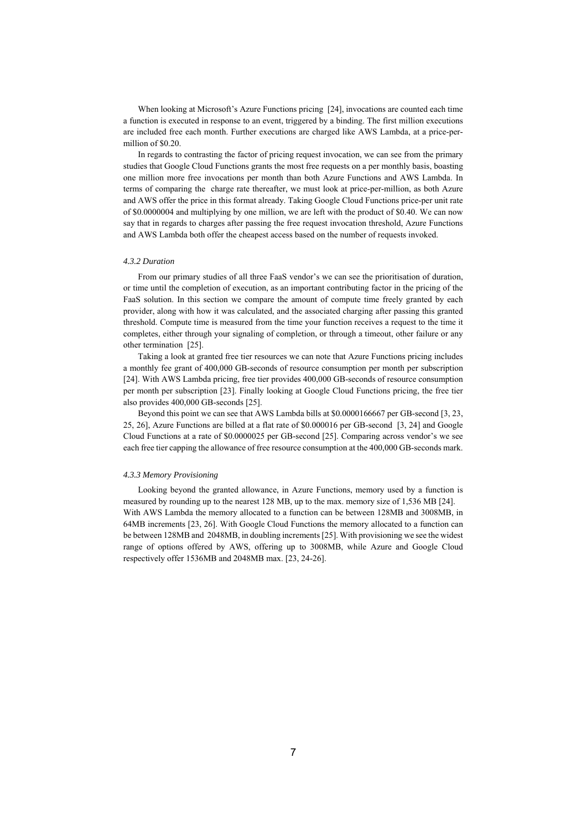When looking at Microsoft's Azure Functions pricing [24], invocations are counted each time a function is executed in response to an event, triggered by a binding. The first million executions are included free each month. Further executions are charged like AWS Lambda, at a price-permillion of \$0.20.

In regards to contrasting the factor of pricing request invocation, we can see from the primary studies that Google Cloud Functions grants the most free requests on a per monthly basis, boasting one million more free invocations per month than both Azure Functions and AWS Lambda. In terms of comparing the charge rate thereafter, we must look at price-per-million, as both Azure and AWS offer the price in this format already. Taking Google Cloud Functions price-per unit rate of \$0.0000004 and multiplying by one million, we are left with the product of \$0.40. We can now say that in regards to charges after passing the free request invocation threshold, Azure Functions and AWS Lambda both offer the cheapest access based on the number of requests invoked.

#### *4.3.2 Duration*

From our primary studies of all three FaaS vendor's we can see the prioritisation of duration, or time until the completion of execution, as an important contributing factor in the pricing of the FaaS solution. In this section we compare the amount of compute time freely granted by each provider, along with how it was calculated, and the associated charging after passing this granted threshold. Compute time is measured from the time your function receives a request to the time it completes, either through your signaling of completion, or through a timeout, other failure or any other termination [25].

Taking a look at granted free tier resources we can note that Azure Functions pricing includes a monthly fee grant of 400,000 GB-seconds of resource consumption per month per subscription [24]. With AWS Lambda pricing, free tier provides 400,000 GB-seconds of resource consumption per month per subscription [23]. Finally looking at Google Cloud Functions pricing, the free tier also provides 400,000 GB-seconds [25].

Beyond this point we can see that AWS Lambda bills at \$0.0000166667 per GB-second [3, 23, 25, 26], Azure Functions are billed at a flat rate of \$0.000016 per GB-second [3, 24] and Google Cloud Functions at a rate of \$0.0000025 per GB-second [25]. Comparing across vendor's we see each free tier capping the allowance of free resource consumption at the 400,000 GB-seconds mark.

## *4.3.3 Memory Provisioning*

Looking beyond the granted allowance, in Azure Functions, memory used by a function is measured by rounding up to the nearest 128 MB, up to the max. memory size of 1,536 MB [24]. With AWS Lambda the memory allocated to a function can be between 128MB and 3008MB, in 64MB increments [23, 26]. With Google Cloud Functions the memory allocated to a function can be between 128MB and 2048MB, in doubling increments [25]. With provisioning we see the widest range of options offered by AWS, offering up to 3008MB, while Azure and Google Cloud respectively offer 1536MB and 2048MB max. [23, 24-26].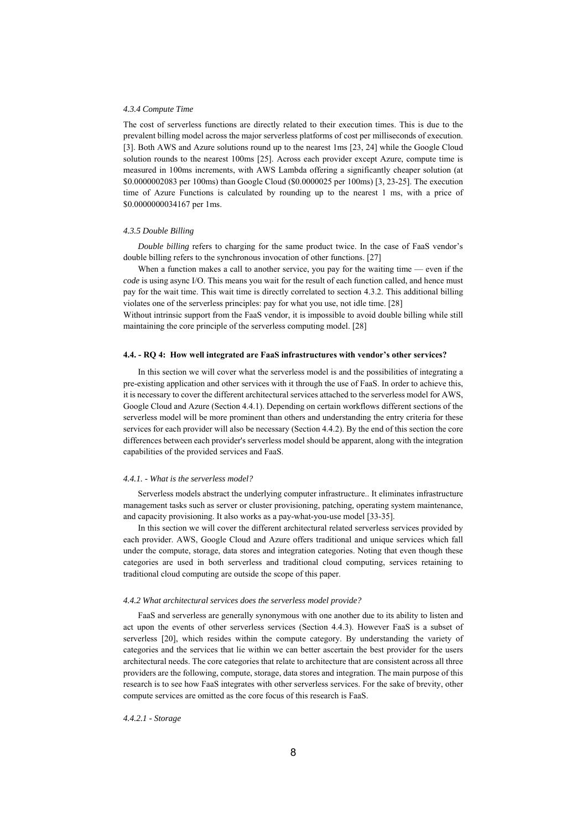#### *4.3.4 Compute Time*

The cost of serverless functions are directly related to their execution times. This is due to the prevalent billing model across the major serverless platforms of cost per milliseconds of execution. [3]. Both AWS and Azure solutions round up to the nearest 1ms [23, 24] while the Google Cloud solution rounds to the nearest 100ms [25]. Across each provider except Azure, compute time is measured in 100ms increments, with AWS Lambda offering a significantly cheaper solution (at \$0.0000002083 per 100ms) than Google Cloud (\$0.0000025 per 100ms) [3, 23-25]. The execution time of Azure Functions is calculated by rounding up to the nearest 1 ms, with a price of \$0.0000000034167 per 1ms.

## *4.3.5 Double Billing*

*Double billing* refers to charging for the same product twice. In the case of FaaS vendor's double billing refers to the synchronous invocation of other functions. [27]

When a function makes a call to another service, you pay for the waiting time — even if the *code* is using async I/O. This means you wait for the result of each function called, and hence must pay for the wait time. This wait time is directly correlated to section 4.3.2. This additional billing violates one of the serverless principles: pay for what you use, not idle time. [28]

Without intrinsic support from the FaaS vendor, it is impossible to avoid double billing while still maintaining the core principle of the serverless computing model. [28]

#### **4.4. - RQ 4: How well integrated are FaaS infrastructures with vendor's other services?**

In this section we will cover what the serverless model is and the possibilities of integrating a pre-existing application and other services with it through the use of FaaS. In order to achieve this, it is necessary to cover the different architectural services attached to the serverless model for AWS, Google Cloud and Azure (Section 4.4.1). Depending on certain workflows different sections of the serverless model will be more prominent than others and understanding the entry criteria for these services for each provider will also be necessary (Section 4.4.2). By the end of this section the core differences between each provider's serverless model should be apparent, along with the integration capabilities of the provided services and FaaS.

#### *4.4.1. - What is the serverless model?*

Serverless models abstract the underlying computer infrastructure.. It eliminates infrastructure management tasks such as server or cluster provisioning, patching, operating system maintenance, and capacity provisioning. It also works as a pay-what-you-use model [33-35].

In this section we will cover the different architectural related serverless services provided by each provider. AWS, Google Cloud and Azure offers traditional and unique services which fall under the compute, storage, data stores and integration categories. Noting that even though these categories are used in both serverless and traditional cloud computing, services retaining to traditional cloud computing are outside the scope of this paper.

#### *4.4.2 What architectural services does the serverless model provide?*

FaaS and serverless are generally synonymous with one another due to its ability to listen and act upon the events of other serverless services (Section 4.4.3). However FaaS is a subset of serverless [20], which resides within the compute category. By understanding the variety of categories and the services that lie within we can better ascertain the best provider for the users architectural needs. The core categories that relate to architecture that are consistent across all three providers are the following, compute, storage, data stores and integration. The main purpose of this research is to see how FaaS integrates with other serverless services. For the sake of brevity, other compute services are omitted as the core focus of this research is FaaS.

*4.4.2.1 - Storage*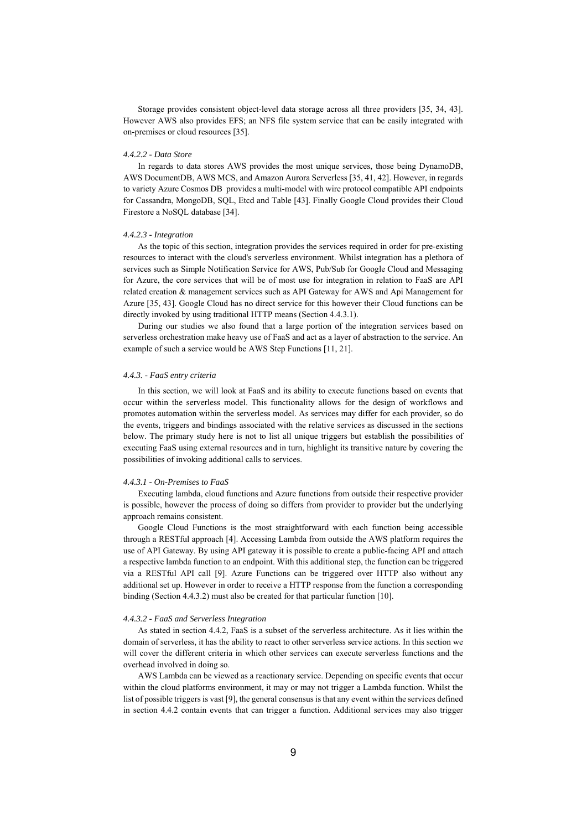Storage provides consistent object-level data storage across all three providers [35, 34, 43]. However AWS also provides EFS; an NFS file system service that can be easily integrated with on-premises or cloud resources [35].

## *4.4.2.2 - Data Store*

In regards to data stores AWS provides the most unique services, those being DynamoDB, AWS DocumentDB, AWS MCS, and Amazon Aurora Serverless [35, 41, 42]. However, in regards to variety Azure Cosmos DB provides a multi-model with wire protocol compatible API endpoints for Cassandra, MongoDB, SQL, Etcd and Table [43]. Finally Google Cloud provides their Cloud Firestore a NoSQL database [34].

## *4.4.2.3 - Integration*

As the topic of this section, integration provides the services required in order for pre-existing resources to interact with the cloud's serverless environment. Whilst integration has a plethora of services such as Simple Notification Service for AWS, Pub/Sub for Google Cloud and Messaging for Azure, the core services that will be of most use for integration in relation to FaaS are API related creation & management services such as API Gateway for AWS and Api Management for Azure [35, 43]. Google Cloud has no direct service for this however their Cloud functions can be directly invoked by using traditional HTTP means (Section 4.4.3.1).

During our studies we also found that a large portion of the integration services based on serverless orchestration make heavy use of FaaS and act as a layer of abstraction to the service. An example of such a service would be AWS Step Functions [11, 21].

## *4.4.3. - FaaS entry criteria*

In this section, we will look at FaaS and its ability to execute functions based on events that occur within the serverless model. This functionality allows for the design of workflows and promotes automation within the serverless model. As services may differ for each provider, so do the events, triggers and bindings associated with the relative services as discussed in the sections below. The primary study here is not to list all unique triggers but establish the possibilities of executing FaaS using external resources and in turn, highlight its transitive nature by covering the possibilities of invoking additional calls to services.

## *4.4.3.1 - On-Premises to FaaS*

 Executing lambda, cloud functions and Azure functions from outside their respective provider is possible, however the process of doing so differs from provider to provider but the underlying approach remains consistent.

Google Cloud Functions is the most straightforward with each function being accessible through a RESTful approach [4]. Accessing Lambda from outside the AWS platform requires the use of API Gateway. By using API gateway it is possible to create a public-facing API and attach a respective lambda function to an endpoint. With this additional step, the function can be triggered via a RESTful API call [9]. Azure Functions can be triggered over HTTP also without any additional set up. However in order to receive a HTTP response from the function a corresponding binding (Section 4.4.3.2) must also be created for that particular function [10].

## *4.4.3.2 - FaaS and Serverless Integration*

As stated in section 4.4.2, FaaS is a subset of the serverless architecture. As it lies within the domain of serverless, it has the ability to react to other serverless service actions. In this section we will cover the different criteria in which other services can execute serverless functions and the overhead involved in doing so.

AWS Lambda can be viewed as a reactionary service. Depending on specific events that occur within the cloud platforms environment, it may or may not trigger a Lambda function. Whilst the list of possible triggers is vast [9], the general consensus is that any event within the services defined in section 4.4.2 contain events that can trigger a function. Additional services may also trigger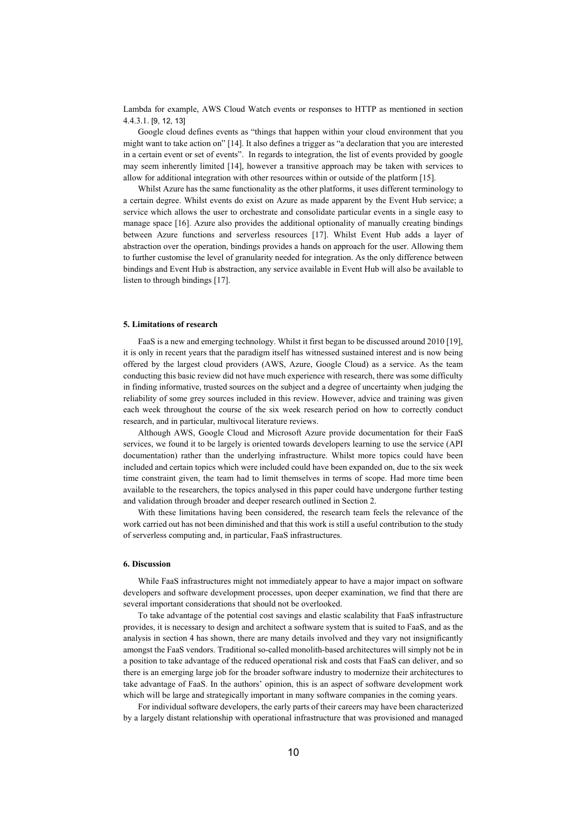Lambda for example, AWS Cloud Watch events or responses to HTTP as mentioned in section 4.4.3.1. [9, 12, 13]

Google cloud defines events as "things that happen within your cloud environment that you might want to take action on" [14]. It also defines a trigger as "a declaration that you are interested in a certain event or set of events". In regards to integration, the list of events provided by google may seem inherently limited [14], however a transitive approach may be taken with services to allow for additional integration with other resources within or outside of the platform [15].

Whilst Azure has the same functionality as the other platforms, it uses different terminology to a certain degree. Whilst events do exist on Azure as made apparent by the Event Hub service; a service which allows the user to orchestrate and consolidate particular events in a single easy to manage space [16]. Azure also provides the additional optionality of manually creating bindings between Azure functions and serverless resources [17]. Whilst Event Hub adds a layer of abstraction over the operation, bindings provides a hands on approach for the user. Allowing them to further customise the level of granularity needed for integration. As the only difference between bindings and Event Hub is abstraction, any service available in Event Hub will also be available to listen to through bindings [17].

## **5. Limitations of research**

FaaS is a new and emerging technology. Whilst it first began to be discussed around 2010 [19], it is only in recent years that the paradigm itself has witnessed sustained interest and is now being offered by the largest cloud providers (AWS, Azure, Google Cloud) as a service. As the team conducting this basic review did not have much experience with research, there was some difficulty in finding informative, trusted sources on the subject and a degree of uncertainty when judging the reliability of some grey sources included in this review. However, advice and training was given each week throughout the course of the six week research period on how to correctly conduct research, and in particular, multivocal literature reviews.

Although AWS, Google Cloud and Microsoft Azure provide documentation for their FaaS services, we found it to be largely is oriented towards developers learning to use the service (API documentation) rather than the underlying infrastructure. Whilst more topics could have been included and certain topics which were included could have been expanded on, due to the six week time constraint given, the team had to limit themselves in terms of scope. Had more time been available to the researchers, the topics analysed in this paper could have undergone further testing and validation through broader and deeper research outlined in Section 2.

With these limitations having been considered, the research team feels the relevance of the work carried out has not been diminished and that this work is still a useful contribution to the study of serverless computing and, in particular, FaaS infrastructures.

## **6. Discussion**

While FaaS infrastructures might not immediately appear to have a major impact on software developers and software development processes, upon deeper examination, we find that there are several important considerations that should not be overlooked.

To take advantage of the potential cost savings and elastic scalability that FaaS infrastructure provides, it is necessary to design and architect a software system that is suited to FaaS, and as the analysis in section 4 has shown, there are many details involved and they vary not insignificantly amongst the FaaS vendors. Traditional so-called monolith-based architectures will simply not be in a position to take advantage of the reduced operational risk and costs that FaaS can deliver, and so there is an emerging large job for the broader software industry to modernize their architectures to take advantage of FaaS. In the authors' opinion, this is an aspect of software development work which will be large and strategically important in many software companies in the coming years.

For individual software developers, the early parts of their careers may have been characterized by a largely distant relationship with operational infrastructure that was provisioned and managed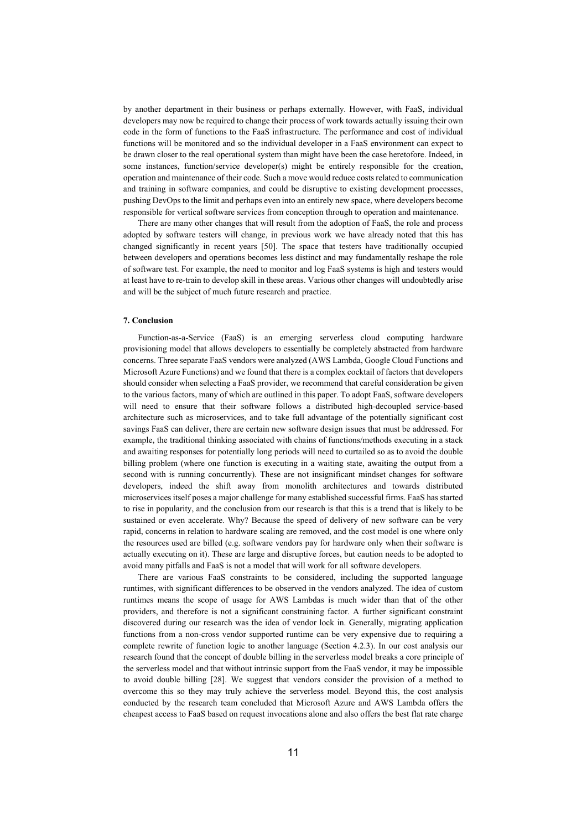by another department in their business or perhaps externally. However, with FaaS, individual developers may now be required to change their process of work towards actually issuing their own code in the form of functions to the FaaS infrastructure. The performance and cost of individual functions will be monitored and so the individual developer in a FaaS environment can expect to be drawn closer to the real operational system than might have been the case heretofore. Indeed, in some instances, function/service developer(s) might be entirely responsible for the creation, operation and maintenance of their code. Such a move would reduce costs related to communication and training in software companies, and could be disruptive to existing development processes, pushing DevOps to the limit and perhaps even into an entirely new space, where developers become responsible for vertical software services from conception through to operation and maintenance.

There are many other changes that will result from the adoption of FaaS, the role and process adopted by software testers will change, in previous work we have already noted that this has changed significantly in recent years [50]. The space that testers have traditionally occupied between developers and operations becomes less distinct and may fundamentally reshape the role of software test. For example, the need to monitor and log FaaS systems is high and testers would at least have to re-train to develop skill in these areas. Various other changes will undoubtedly arise and will be the subject of much future research and practice.

## **7. Conclusion**

Function-as-a-Service (FaaS) is an emerging serverless cloud computing hardware provisioning model that allows developers to essentially be completely abstracted from hardware concerns. Three separate FaaS vendors were analyzed (AWS Lambda, Google Cloud Functions and Microsoft Azure Functions) and we found that there is a complex cocktail of factors that developers should consider when selecting a FaaS provider, we recommend that careful consideration be given to the various factors, many of which are outlined in this paper. To adopt FaaS, software developers will need to ensure that their software follows a distributed high-decoupled service-based architecture such as microservices, and to take full advantage of the potentially significant cost savings FaaS can deliver, there are certain new software design issues that must be addressed. For example, the traditional thinking associated with chains of functions/methods executing in a stack and awaiting responses for potentially long periods will need to curtailed so as to avoid the double billing problem (where one function is executing in a waiting state, awaiting the output from a second with is running concurrently). These are not insignificant mindset changes for software developers, indeed the shift away from monolith architectures and towards distributed microservices itself poses a major challenge for many established successful firms. FaaS has started to rise in popularity, and the conclusion from our research is that this is a trend that is likely to be sustained or even accelerate. Why? Because the speed of delivery of new software can be very rapid, concerns in relation to hardware scaling are removed, and the cost model is one where only the resources used are billed (e.g. software vendors pay for hardware only when their software is actually executing on it). These are large and disruptive forces, but caution needs to be adopted to avoid many pitfalls and FaaS is not a model that will work for all software developers.

There are various FaaS constraints to be considered, including the supported language runtimes, with significant differences to be observed in the vendors analyzed. The idea of custom runtimes means the scope of usage for AWS Lambdas is much wider than that of the other providers, and therefore is not a significant constraining factor. A further significant constraint discovered during our research was the idea of vendor lock in. Generally, migrating application functions from a non-cross vendor supported runtime can be very expensive due to requiring a complete rewrite of function logic to another language (Section 4.2.3). In our cost analysis our research found that the concept of double billing in the serverless model breaks a core principle of the serverless model and that without intrinsic support from the FaaS vendor, it may be impossible to avoid double billing [28]. We suggest that vendors consider the provision of a method to overcome this so they may truly achieve the serverless model. Beyond this, the cost analysis conducted by the research team concluded that Microsoft Azure and AWS Lambda offers the cheapest access to FaaS based on request invocations alone and also offers the best flat rate charge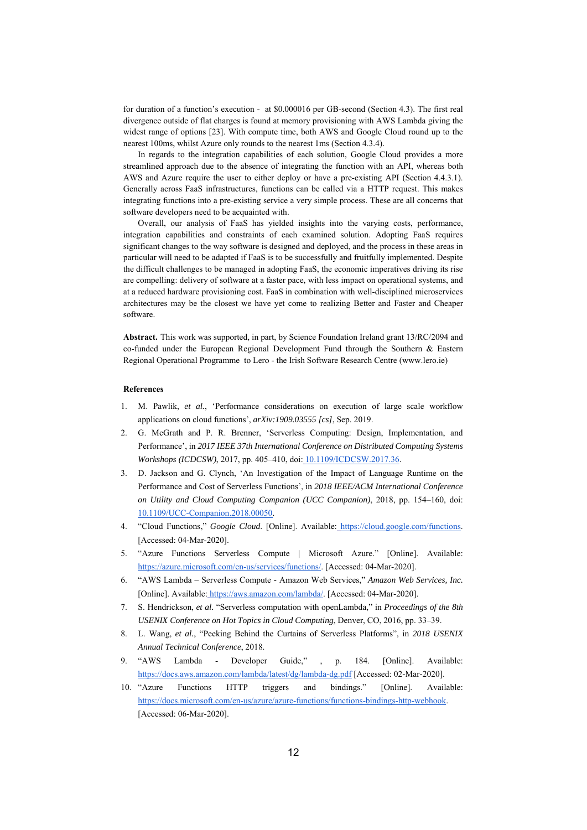for duration of a function's execution - at \$0.000016 per GB-second (Section 4.3). The first real divergence outside of flat charges is found at memory provisioning with AWS Lambda giving the widest range of options [23]. With compute time, both AWS and Google Cloud round up to the nearest 100ms, whilst Azure only rounds to the nearest 1ms (Section 4.3.4).

In regards to the integration capabilities of each solution, Google Cloud provides a more streamlined approach due to the absence of integrating the function with an API, whereas both AWS and Azure require the user to either deploy or have a pre-existing API (Section 4.4.3.1). Generally across FaaS infrastructures, functions can be called via a HTTP request. This makes integrating functions into a pre-existing service a very simple process. These are all concerns that software developers need to be acquainted with.

Overall, our analysis of FaaS has yielded insights into the varying costs, performance, integration capabilities and constraints of each examined solution. Adopting FaaS requires significant changes to the way software is designed and deployed, and the process in these areas in particular will need to be adapted if FaaS is to be successfully and fruitfully implemented. Despite the difficult challenges to be managed in adopting FaaS, the economic imperatives driving its rise are compelling: delivery of software at a faster pace, with less impact on operational systems, and at a reduced hardware provisioning cost. FaaS in combination with well-disciplined microservices architectures may be the closest we have yet come to realizing Better and Faster and Cheaper software.

**Abstract.** This work was supported, in part, by Science Foundation Ireland grant 13/RC/2094 and co-funded under the European Regional Development Fund through the Southern & Eastern Regional Operational Programme to Lero - the Irish Software Research Centre (www.lero.ie)

## **References**

- 1. M. Pawlik, *et al.*, 'Performance considerations on execution of large scale workflow applications on cloud functions', *arXiv:1909.03555 [cs]*, Sep. 2019.
- 2. G. McGrath and P. R. Brenner, 'Serverless Computing: Design, Implementation, and Performance', in *2017 IEEE 37th International Conference on Distributed Computing Systems Workshops (ICDCSW)*, 2017, pp. 405–410, doi: 10.1109/ICDCSW.2017.36.
- 3. D. Jackson and G. Clynch, 'An Investigation of the Impact of Language Runtime on the Performance and Cost of Serverless Functions', in *2018 IEEE/ACM International Conference on Utility and Cloud Computing Companion (UCC Companion)*, 2018, pp. 154–160, doi: 10.1109/UCC-Companion.2018.00050.
- 4. "Cloud Functions," *Google Cloud*. [Online]. Available: https://cloud.google.com/functions. [Accessed: 04-Mar-2020].
- 5. "Azure Functions Serverless Compute | Microsoft Azure." [Online]. Available: https://azure.microsoft.com/en-us/services/functions/. [Accessed: 04-Mar-2020].
- 6. "AWS Lambda Serverless Compute Amazon Web Services," *Amazon Web Services, Inc.* [Online]. Available: https://aws.amazon.com/lambda/. [Accessed: 04-Mar-2020].
- 7. S. Hendrickson, *et al.* "Serverless computation with openLambda," in *Proceedings of the 8th USENIX Conference on Hot Topics in Cloud Computing*, Denver, CO, 2016, pp. 33–39.
- 8. L. Wang, *et al.*, "Peeking Behind the Curtains of Serverless Platforms", in *2018 USENIX Annual Technical Conference*, 2018.
- 9. "AWS Lambda Developer Guide," , p. 184. [Online]. Available: https://docs.aws.amazon.com/lambda/latest/dg/lambda-dg.pdf [Accessed: 02-Mar-2020].
- 10. "Azure Functions HTTP triggers and bindings." [Online]. Available: https://docs.microsoft.com/en-us/azure/azure-functions/functions-bindings-http-webhook. [Accessed: 06-Mar-2020].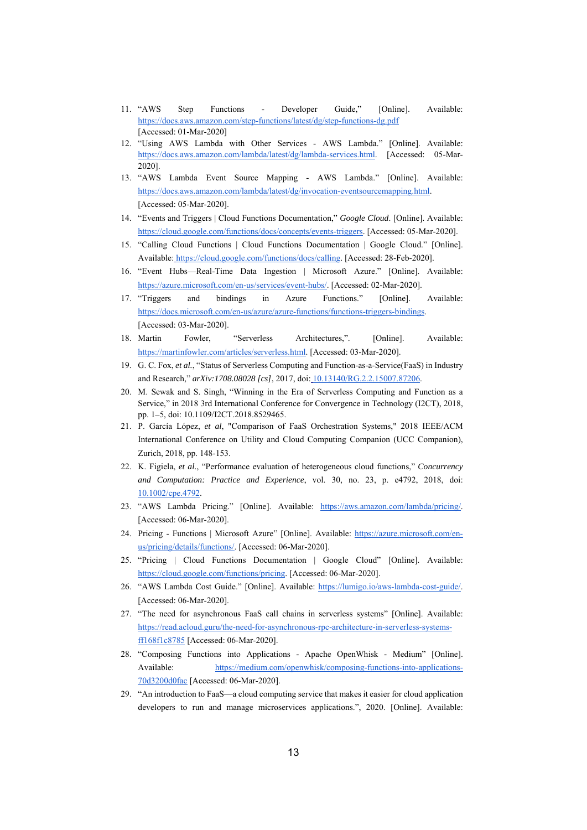- 11. "AWS Step Functions Developer Guide," [Online]. Available: https://docs.aws.amazon.com/step-functions/latest/dg/step-functions-dg.pdf [Accessed: 01-Mar-2020]
- 12. "Using AWS Lambda with Other Services AWS Lambda." [Online]. Available: https://docs.aws.amazon.com/lambda/latest/dg/lambda-services.html. [Accessed: 05-Mar-2020].
- 13. "AWS Lambda Event Source Mapping AWS Lambda." [Online]. Available: https://docs.aws.amazon.com/lambda/latest/dg/invocation-eventsourcemapping.html. [Accessed: 05-Mar-2020].
- 14. "Events and Triggers | Cloud Functions Documentation," *Google Cloud*. [Online]. Available: https://cloud.google.com/functions/docs/concepts/events-triggers. [Accessed: 05-Mar-2020].
- 15. "Calling Cloud Functions | Cloud Functions Documentation | Google Cloud." [Online]. Available: https://cloud.google.com/functions/docs/calling. [Accessed: 28-Feb-2020].
- 16. "Event Hubs—Real-Time Data Ingestion | Microsoft Azure." [Online]. Available: https://azure.microsoft.com/en-us/services/event-hubs/. [Accessed: 02-Mar-2020].
- 17. "Triggers and bindings in Azure Functions." [Online]. Available: https://docs.microsoft.com/en-us/azure/azure-functions/functions-triggers-bindings. [Accessed: 03-Mar-2020].
- 18. Martin Fowler, "Serverless Architectures,". [Online]. Available: https://martinfowler.com/articles/serverless.html. [Accessed: 03-Mar-2020].
- 19. G. C. Fox, *et al.*, "Status of Serverless Computing and Function-as-a-Service(FaaS) in Industry and Research,"  $arXiv:1708.08028$  [cs], 2017, doi: 10.13140/RG.2.2.15007.87206.
- 20. M. Sewak and S. Singh, "Winning in the Era of Serverless Computing and Function as a Service," in 2018 3rd International Conference for Convergence in Technology (I2CT), 2018, pp. 1–5, doi: 10.1109/I2CT.2018.8529465.
- 21. P. García López, *et al*, "Comparison of FaaS Orchestration Systems," 2018 IEEE/ACM International Conference on Utility and Cloud Computing Companion (UCC Companion), Zurich, 2018, pp. 148-153.
- 22. K. Figiela, *et al.*, "Performance evaluation of heterogeneous cloud functions," *Concurrency and Computation: Practice and Experience*, vol. 30, no. 23, p. e4792, 2018, doi: 10.1002/cpe.4792.
- 23. "AWS Lambda Pricing." [Online]. Available: https://aws.amazon.com/lambda/pricing/. [Accessed: 06-Mar-2020].
- 24. Pricing Functions | Microsoft Azure" [Online]. Available: https://azure.microsoft.com/enus/pricing/details/functions/. [Accessed: 06-Mar-2020].
- 25. "Pricing | Cloud Functions Documentation | Google Cloud" [Online]. Available: https://cloud.google.com/functions/pricing. [Accessed: 06-Mar-2020].
- 26. "AWS Lambda Cost Guide." [Online]. Available: https://lumigo.io/aws-lambda-cost-guide/. [Accessed: 06-Mar-2020].
- 27. "The need for asynchronous FaaS call chains in serverless systems" [Online]. Available: https://read.acloud.guru/the-need-for-asynchronous-rpc-architecture-in-serverless-systemsff168f1c8785 [Accessed: 06-Mar-2020].
- 28. "Composing Functions into Applications Apache OpenWhisk Medium" [Online]. Available: https://medium.com/openwhisk/composing-functions-into-applications-70d3200d0fac [Accessed: 06-Mar-2020].
- 29. "An introduction to FaaS—a cloud computing service that makes it easier for cloud application developers to run and manage microservices applications.", 2020. [Online]. Available: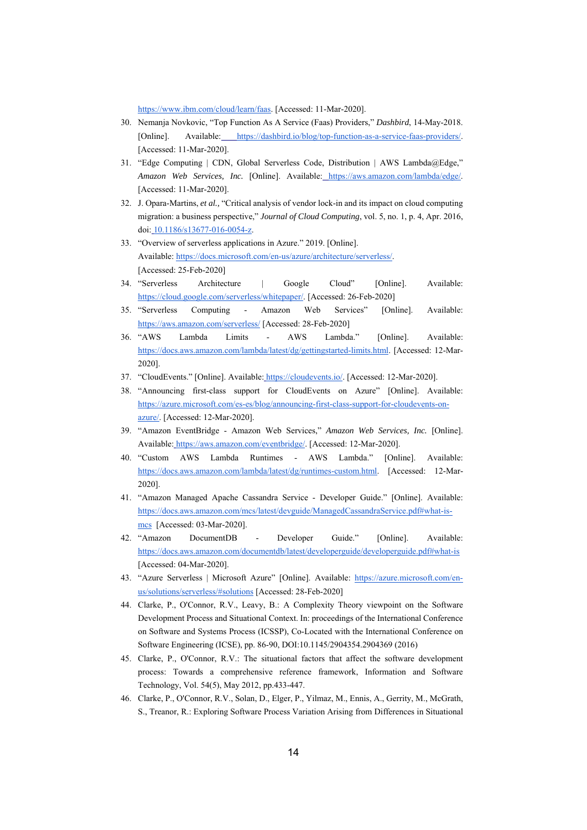https://www.ibm.com/cloud/learn/faas. [Accessed: 11-Mar-2020].

- 30. Nemanja Novkovic, "Top Function As A Service (Faas) Providers," *Dashbird*, 14-May-2018. [Online]. Available: https://dashbird.io/blog/top-function-as-a-service-faas-providers/. [Accessed: 11-Mar-2020].
- 31. "Edge Computing | CDN, Global Serverless Code, Distribution | AWS Lambda@Edge," *Amazon Web Services, Inc.* [Online]. Available: https://aws.amazon.com/lambda/edge/. [Accessed: 11-Mar-2020].
- 32. J. Opara-Martins, *et al.,* "Critical analysis of vendor lock-in and its impact on cloud computing migration: a business perspective," *Journal of Cloud Computing*, vol. 5, no. 1, p. 4, Apr. 2016, doi: 10.1186/s13677-016-0054-z.
- 33. "Overview of serverless applications in Azure." 2019. [Online]. Available: https://docs.microsoft.com/en-us/azure/architecture/serverless/. [Accessed: 25-Feb-2020]
- 34. "Serverless Architecture | Google Cloud" [Online]. Available: https://cloud.google.com/serverless/whitepaper/. [Accessed: 26-Feb-2020]
- 35. "Serverless Computing Amazon Web Services" [Online]. Available: https://aws.amazon.com/serverless/ [Accessed: 28-Feb-2020]
- 36. "AWS Lambda Limits AWS Lambda." [Online]. Available: https://docs.aws.amazon.com/lambda/latest/dg/gettingstarted-limits.html. [Accessed: 12-Mar-2020].
- 37. "CloudEvents." [Online]. Available: https://cloudevents.io/. [Accessed: 12-Mar-2020].
- 38. "Announcing first-class support for CloudEvents on Azure" [Online]. Available: https://azure.microsoft.com/es-es/blog/announcing-first-class-support-for-cloudevents-onazure/. [Accessed: 12-Mar-2020].
- 39. "Amazon EventBridge Amazon Web Services," *Amazon Web Services, Inc.* [Online]. Available: https://aws.amazon.com/eventbridge/. [Accessed: 12-Mar-2020].
- 40. "Custom AWS Lambda Runtimes AWS Lambda." [Online]. Available: https://docs.aws.amazon.com/lambda/latest/dg/runtimes-custom.html. [Accessed: 12-Mar-2020].
- 41. "Amazon Managed Apache Cassandra Service Developer Guide." [Online]. Available: https://docs.aws.amazon.com/mcs/latest/devguide/ManagedCassandraService.pdf#what-ismcs [Accessed: 03-Mar-2020].
- 42. "Amazon DocumentDB Developer Guide." [Online]. Available: https://docs.aws.amazon.com/documentdb/latest/developerguide/developerguide.pdf#what-is [Accessed: 04-Mar-2020].
- 43. "Azure Serverless | Microsoft Azure" [Online]. Available: https://azure.microsoft.com/enus/solutions/serverless/#solutions [Accessed: 28-Feb-2020]
- 44. Clarke, P., O'Connor, R.V., Leavy, B.: A Complexity Theory viewpoint on the Software Development Process and Situational Context. In: proceedings of the International Conference on Software and Systems Process (ICSSP), Co-Located with the International Conference on Software Engineering (ICSE), pp. 86-90, DOI:10.1145/2904354.2904369 (2016)
- 45. Clarke, P., O'Connor, R.V.: The situational factors that affect the software development process: Towards a comprehensive reference framework, Information and Software Technology, Vol. 54(5), May 2012, pp.433-447.
- 46. Clarke, P., O'Connor, R.V., Solan, D., Elger, P., Yilmaz, M., Ennis, A., Gerrity, M., McGrath, S., Treanor, R.: Exploring Software Process Variation Arising from Differences in Situational